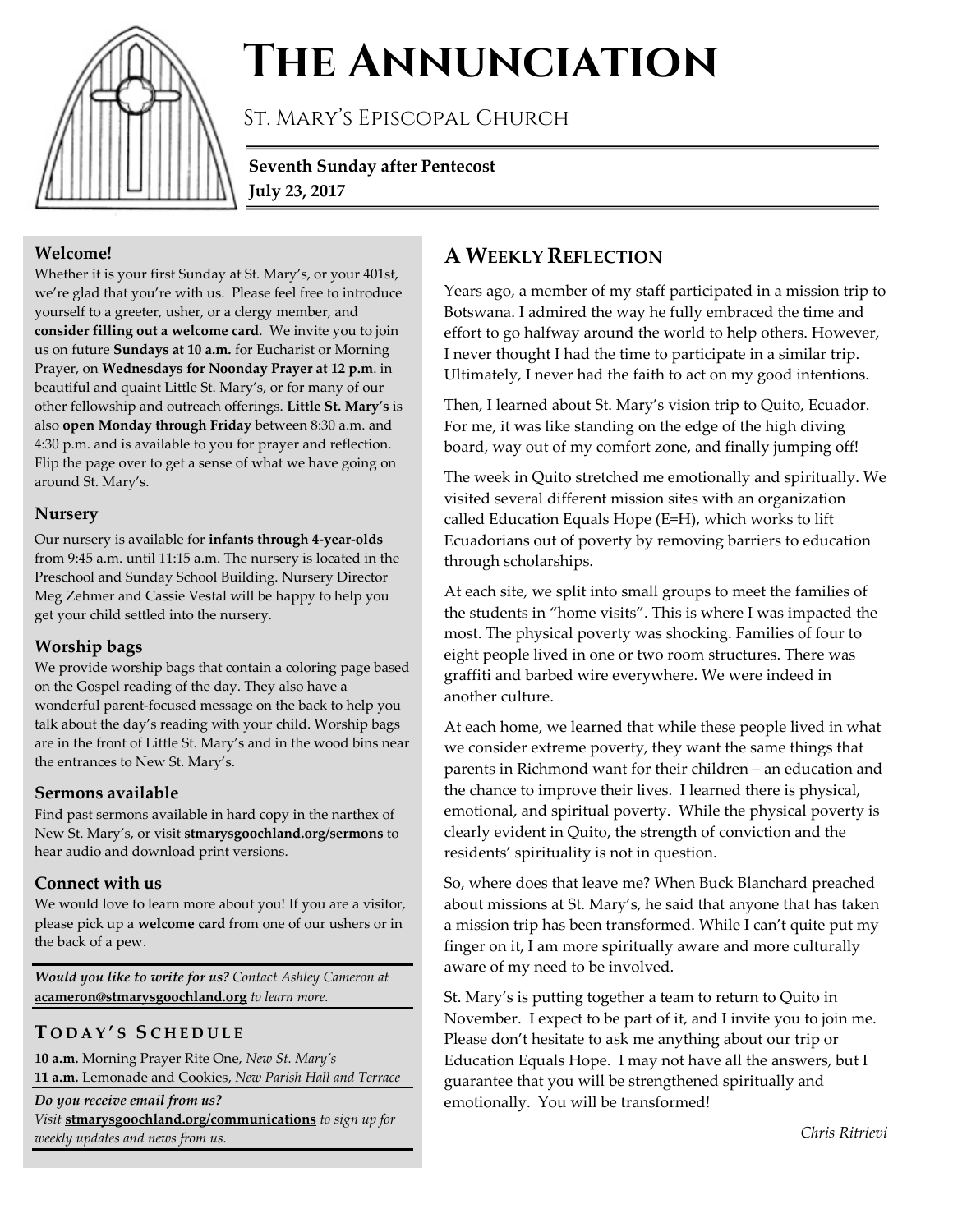

# **The Annunciation**

St. Mary's Episcopal Church

**Seventh Sunday after Pentecost July 23, 2017**

#### **Welcome!**

Whether it is your first Sunday at St. Mary's, or your 401st, we're glad that you're with us. Please feel free to introduce yourself to a greeter, usher, or a clergy member, and **consider filling out a welcome card**. We invite you to join us on future **Sundays at 10 a.m.** for Eucharist or Morning Prayer, on **Wednesdays for Noonday Prayer at 12 p.m**. in beautiful and quaint Little St. Mary's, or for many of our other fellowship and outreach offerings. **Little St. Mary's** is also **open Monday through Friday** between 8:30 a.m. and 4:30 p.m. and is available to you for prayer and reflection. Flip the page over to get a sense of what we have going on around St. Mary's.

### **Nursery**

Our nursery is available for **infants through 4-year-olds** from 9:45 a.m. until 11:15 a.m. The nursery is located in the Preschool and Sunday School Building. Nursery Director Meg Zehmer and Cassie Vestal will be happy to help you get your child settled into the nursery.

## **Worship bags**

We provide worship bags that contain a coloring page based on the Gospel reading of the day. They also have a wonderful parent-focused message on the back to help you talk about the day's reading with your child. Worship bags are in the front of Little St. Mary's and in the wood bins near the entrances to New St. Mary's.

## **Sermons available**

Find past sermons available in hard copy in the narthex of New St. Mary's, or visit **stmarysgoochland.org/sermons** to hear audio and download print versions.

## **Connect with us**

We would love to learn more about you! If you are a visitor, please pick up a **welcome card** from one of our ushers or in the back of a pew.

*Would you like to write for us? Contact Ashley Cameron at*  **acameron@stmarysgoochland.org** *to learn more.*

## **T ODAY ' S S CHEDULE**

**10 a.m.** Morning Prayer Rite One, *New St. Mary's*

**11 a.m.** Lemonade and Cookies, *New Parish Hall and Terrace Do you receive email from us?* 

*Visit* **stmarysgoochland.org/communications** *to sign up for weekly updates and news from us.*

# **A WEEKLY REFLECTION**

Years ago, a member of my staff participated in a mission trip to Botswana. I admired the way he fully embraced the time and effort to go halfway around the world to help others. However, I never thought I had the time to participate in a similar trip. Ultimately, I never had the faith to act on my good intentions.

Then, I learned about St. Mary's vision trip to Quito, Ecuador. For me, it was like standing on the edge of the high diving board, way out of my comfort zone, and finally jumping off!

The week in Quito stretched me emotionally and spiritually. We visited several different mission sites with an organization called Education Equals Hope (E=H), which works to lift Ecuadorians out of poverty by removing barriers to education through scholarships.

At each site, we split into small groups to meet the families of the students in "home visits". This is where I was impacted the most. The physical poverty was shocking. Families of four to eight people lived in one or two room structures. There was graffiti and barbed wire everywhere. We were indeed in another culture.

At each home, we learned that while these people lived in what we consider extreme poverty, they want the same things that parents in Richmond want for their children – an education and the chance to improve their lives. I learned there is physical, emotional, and spiritual poverty. While the physical poverty is clearly evident in Quito, the strength of conviction and the residents' spirituality is not in question.

So, where does that leave me? When Buck Blanchard preached about missions at St. Mary's, he said that anyone that has taken a mission trip has been transformed. While I can't quite put my finger on it, I am more spiritually aware and more culturally aware of my need to be involved.

St. Mary's is putting together a team to return to Quito in November. I expect to be part of it, and I invite you to join me. Please don't hesitate to ask me anything about our trip or Education Equals Hope. I may not have all the answers, but I guarantee that you will be strengthened spiritually and emotionally. You will be transformed!